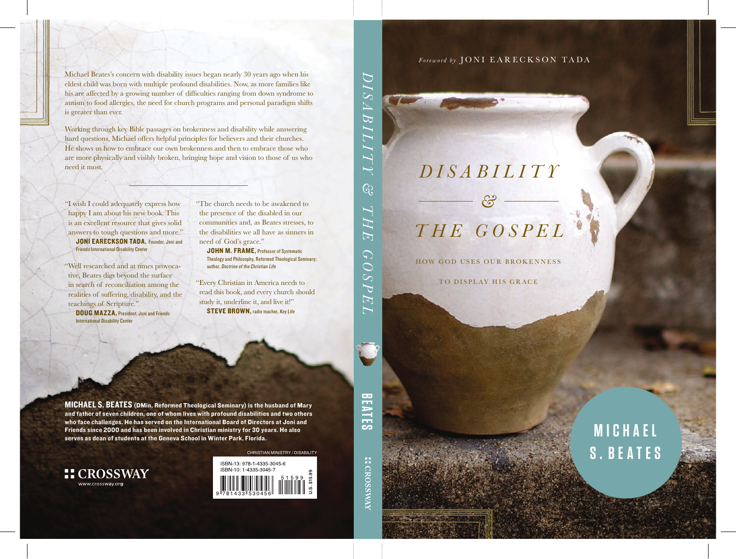*Foreword by* JONI E A R ECKSON TA D A

# *D I S A B I L I T Y*

*&* 

# *THE GOSPEL*

HOW GOD USES OUR BROKENNESS

TO DISPLAY HIS GRACE

**M I C H A E L S. BEATES**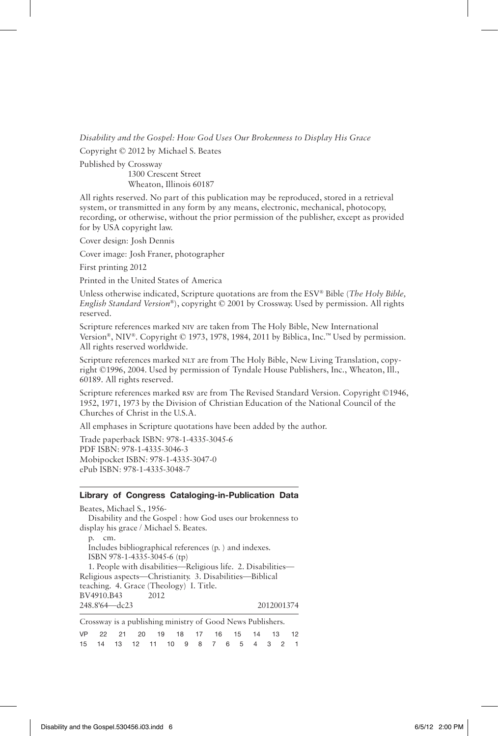*Disability and the Gospel: How God Uses Our Brokenness to Display His Grace*

Copyright © 2012 by Michael S. Beates

Published by Crossway 1300 Crescent Street Wheaton, Illinois 60187

All rights reserved. No part of this publication may be reproduced, stored in a retrieval system, or transmitted in any form by any means, electronic, mechanical, photocopy, recording, or otherwise, without the prior permission of the publisher, except as provided for by USA copyright law.

Cover design: Josh Dennis

Cover image: Josh Franer, photographer

First printing 2012

Printed in the United States of America

Unless otherwise indicated, Scripture quotations are from the ESV® Bible (*The Holy Bible, English Standard Version*®), copyright © 2001 by Crossway. Used by permission. All rights reserved.

Scripture references marked niv are taken from The Holy Bible, New International Version®, NIV®. Copyright © 1973, 1978, 1984, 2011 by Biblica, Inc.™ Used by permission. All rights reserved worldwide.

Scripture references marked NLT are from The Holy Bible, New Living Translation, copyright ©1996, 2004. Used by permission of Tyndale House Publishers, Inc., Wheaton, Ill., 60189. All rights reserved.

Scripture references marked rsv are from The Revised Standard Version. Copyright ©1946, 1952, 1971, 1973 by the Division of Christian Education of the National Council of the Churches of Christ in the U.S.A.

All emphases in Scripture quotations have been added by the author.

Trade paperback ISBN: 978-1-4335-3045-6 PDF ISBN: 978-1-4335-3046-3 Mobipocket ISBN: 978-1-4335-3047-0 ePub ISBN: 978-1-4335-3048-7

#### **Library of Congress Cataloging-in-Publication Data**

Beates, Michael S., 1956- Disability and the Gospel : how God uses our brokenness to display his grace / Michael S. Beates. p. cm. Includes bibliographical references (p. ) and indexes. ISBN 978-1-4335-3045-6 (tp) 1. People with disabilities—Religious life. 2. Disabilities— Religious aspects—Christianity. 3. Disabilities—Biblical teaching. 4. Grace (Theology) I. Title. BV4910.B43 2012 248.8'64—dc23 2012001374 Crossway is a publishing ministry of Good News Publishers.

|  |  | VP 22 21 20 19 18 17 16 15 14 13 12 |  |  |  |  |  |
|--|--|-------------------------------------|--|--|--|--|--|
|  |  | 15 14 13 12 11 10 9 8 7 6 5 4 3 2 1 |  |  |  |  |  |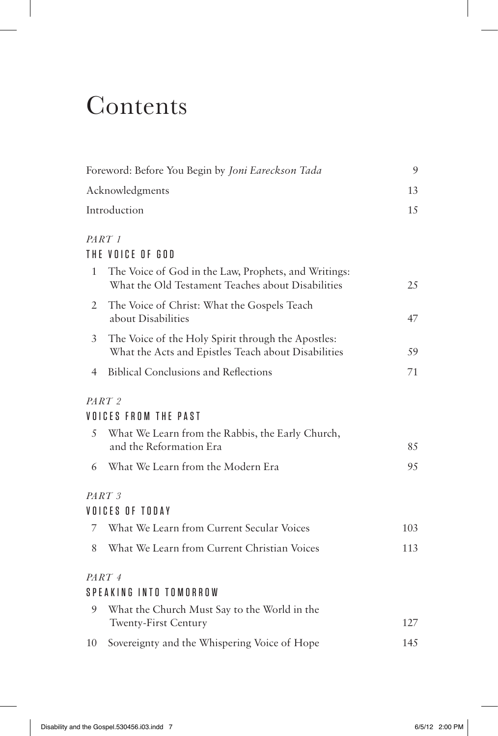# Contents

|                   | Foreword: Before You Begin by Joni Eareckson Tada                                                         | 9   |
|-------------------|-----------------------------------------------------------------------------------------------------------|-----|
|                   | Acknowledgments                                                                                           | 13  |
|                   | Introduction                                                                                              | 15  |
| PART 1            |                                                                                                           |     |
|                   | THE VOICE OF GOD                                                                                          |     |
| $\mathbf{1}$      | The Voice of God in the Law, Prophets, and Writings:<br>What the Old Testament Teaches about Disabilities | 25  |
| $\overline{2}$    | The Voice of Christ: What the Gospels Teach<br>about Disabilities                                         | 47  |
| 3                 | The Voice of the Holy Spirit through the Apostles:<br>What the Acts and Epistles Teach about Disabilities | 59  |
| 4                 | <b>Biblical Conclusions and Reflections</b>                                                               | 71  |
| PART <sub>2</sub> |                                                                                                           |     |
|                   | <b>VOICES FROM THE PAST</b>                                                                               |     |
| .5                | What We Learn from the Rabbis, the Early Church,<br>and the Reformation Era                               | 85  |
| 6                 | What We Learn from the Modern Era                                                                         | 95  |
| PART <sub>3</sub> |                                                                                                           |     |
|                   | <b>VOICES OF TODAY</b>                                                                                    |     |
| 7                 | What We Learn from Current Secular Voices                                                                 | 103 |
| 8                 | What We Learn from Current Christian Voices                                                               | 113 |
| PART 4            |                                                                                                           |     |
|                   | SPEAKING INTO TOMORROW                                                                                    |     |
| 9                 | What the Church Must Say to the World in the<br>Twenty-First Century                                      | 127 |
| 10                | Sovereignty and the Whispering Voice of Hope                                                              | 145 |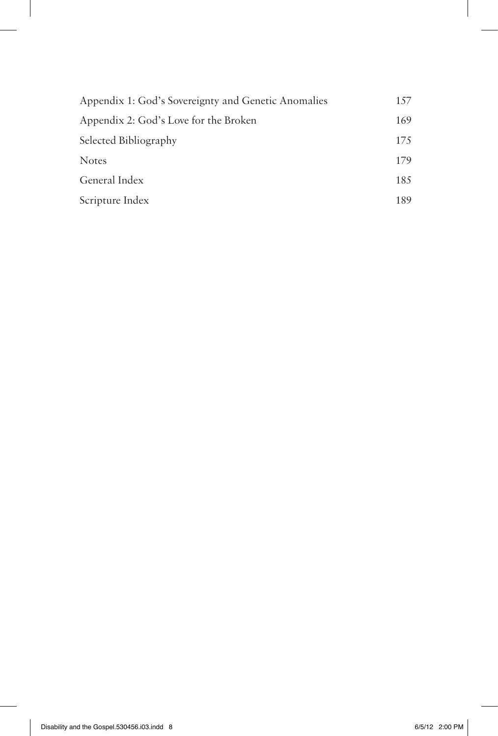| Appendix 1: God's Sovereignty and Genetic Anomalies | 1.57 |
|-----------------------------------------------------|------|
| Appendix 2: God's Love for the Broken               | 169  |
| Selected Bibliography                               | 175  |
| <b>Notes</b>                                        | 179  |
| General Index                                       | 18.5 |
| Scripture Index                                     | 189  |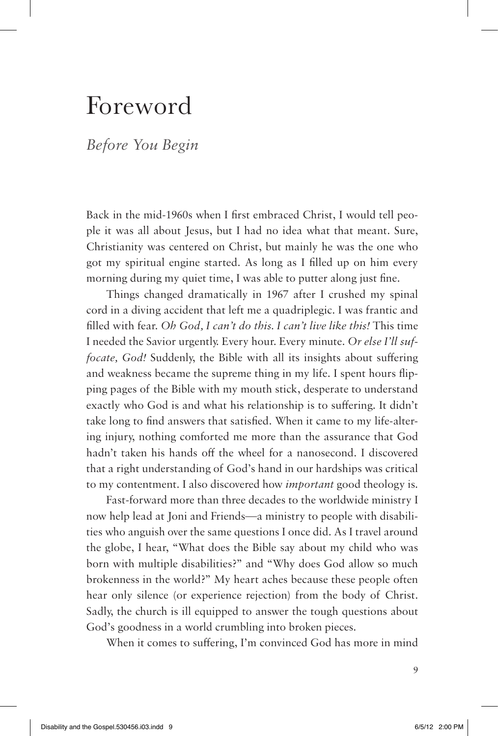# Foreword

# *Before You Begin*

Back in the mid-1960s when I first embraced Christ, I would tell people it was all about Jesus, but I had no idea what that meant. Sure, Christianity was centered on Christ, but mainly he was the one who got my spiritual engine started. As long as I filled up on him every morning during my quiet time, I was able to putter along just fine.

Things changed dramatically in 1967 after I crushed my spinal cord in a diving accident that left me a quadriplegic. I was frantic and filled with fear. *Oh God, I can't do this. I can't live like this!* This time I needed the Savior urgently. Every hour. Every minute. *Or else I'll suffocate, God!* Suddenly, the Bible with all its insights about sufering and weakness became the supreme thing in my life. I spent hours flipping pages of the Bible with my mouth stick, desperate to understand exactly who God is and what his relationship is to sufering. It didn't take long to find answers that satisfied. When it came to my life-altering injury, nothing comforted me more than the assurance that God hadn't taken his hands off the wheel for a nanosecond. I discovered that a right understanding of God's hand in our hardships was critical to my contentment. I also discovered how *important* good theology is.

Fast-forward more than three decades to the worldwide ministry I now help lead at Joni and Friends—a ministry to people with disabilities who anguish over the same questions I once did. As I travel around the globe, I hear, "What does the Bible say about my child who was born with multiple disabilities?" and "Why does God allow so much brokenness in the world?" My heart aches because these people often hear only silence (or experience rejection) from the body of Christ. Sadly, the church is ill equipped to answer the tough questions about God's goodness in a world crumbling into broken pieces.

When it comes to suffering, I'm convinced God has more in mind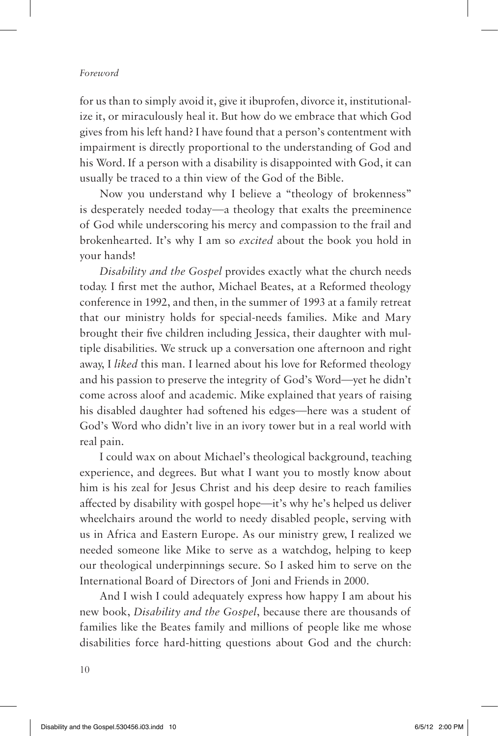#### *Foreword*

for us than to simply avoid it, give it ibuprofen, divorce it, institutionalize it, or miraculously heal it. But how do we embrace that which God gives from his left hand? I have found that a person's contentment with impairment is directly proportional to the understanding of God and his Word. If a person with a disability is disappointed with God, it can usually be traced to a thin view of the God of the Bible.

Now you understand why I believe a "theology of brokenness" is desperately needed today—a theology that exalts the preeminence of God while underscoring his mercy and compassion to the frail and brokenhearted. It's why I am so *excited* about the book you hold in your hands!

*Disability and the Gospel* provides exactly what the church needs today. I first met the author, Michael Beates, at a Reformed theology conference in 1992, and then, in the summer of 1993 at a family retreat that our ministry holds for special-needs families. Mike and Mary brought their five children including Jessica, their daughter with multiple disabilities. We struck up a conversation one afternoon and right away, I *liked* this man. I learned about his love for Reformed theology and his passion to preserve the integrity of God's Word—yet he didn't come across aloof and academic. Mike explained that years of raising his disabled daughter had softened his edges—here was a student of God's Word who didn't live in an ivory tower but in a real world with real pain.

I could wax on about Michael's theological background, teaching experience, and degrees. But what I want you to mostly know about him is his zeal for Jesus Christ and his deep desire to reach families afected by disability with gospel hope—it's why he's helped us deliver wheelchairs around the world to needy disabled people, serving with us in Africa and Eastern Europe. As our ministry grew, I realized we needed someone like Mike to serve as a watchdog, helping to keep our theological underpinnings secure. So I asked him to serve on the International Board of Directors of Joni and Friends in 2000.

And I wish I could adequately express how happy I am about his new book, *Disability and the Gospel*, because there are thousands of families like the Beates family and millions of people like me whose disabilities force hard-hitting questions about God and the church: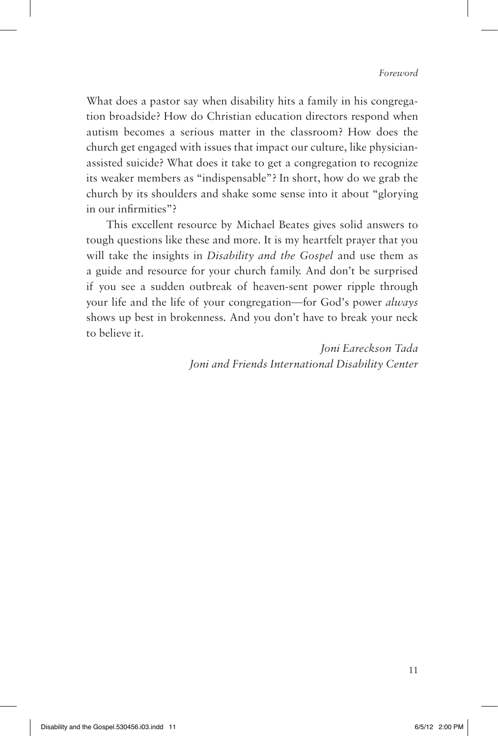What does a pastor say when disability hits a family in his congregation broadside? How do Christian education directors respond when autism becomes a serious matter in the classroom? How does the church get engaged with issues that impact our culture, like physicianassisted suicide? What does it take to get a congregation to recognize its weaker members as "indispensable"? In short, how do we grab the church by its shoulders and shake some sense into it about "glorying in our infirmities"?

This excellent resource by Michael Beates gives solid answers to tough questions like these and more. It is my heartfelt prayer that you will take the insights in *Disability and the Gospel* and use them as a guide and resource for your church family. And don't be surprised if you see a sudden outbreak of heaven-sent power ripple through your life and the life of your congregation—for God's power *always*  shows up best in brokenness. And you don't have to break your neck to believe it.

> *Joni Eareckson Tada Joni and Friends International Disability Center*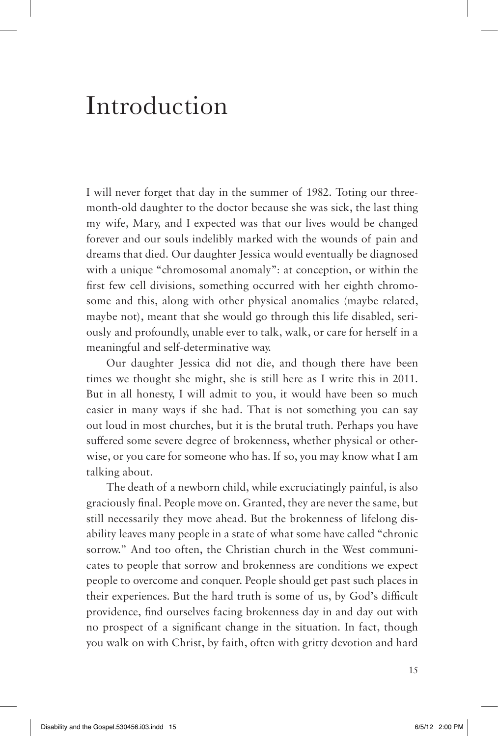# Introduction

I will never forget that day in the summer of 1982. Toting our threemonth-old daughter to the doctor because she was sick, the last thing my wife, Mary, and I expected was that our lives would be changed forever and our souls indelibly marked with the wounds of pain and dreams that died. Our daughter Jessica would eventually be diagnosed with a unique "chromosomal anomaly": at conception, or within the first few cell divisions, something occurred with her eighth chromosome and this, along with other physical anomalies (maybe related, maybe not), meant that she would go through this life disabled, seriously and profoundly, unable ever to talk, walk, or care for herself in a meaningful and self-determinative way.

Our daughter Jessica did not die, and though there have been times we thought she might, she is still here as I write this in 2011. But in all honesty, I will admit to you, it would have been so much easier in many ways if she had. That is not something you can say out loud in most churches, but it is the brutal truth. Perhaps you have sufered some severe degree of brokenness, whether physical or otherwise, or you care for someone who has. If so, you may know what I am talking about.

The death of a newborn child, while excruciatingly painful, is also graciously final. People move on. Granted, they are never the same, but still necessarily they move ahead. But the brokenness of lifelong disability leaves many people in a state of what some have called "chronic sorrow." And too often, the Christian church in the West communicates to people that sorrow and brokenness are conditions we expect people to overcome and conquer. People should get past such places in their experiences. But the hard truth is some of us, by God's difficult providence, find ourselves facing brokenness day in and day out with no prospect of a significant change in the situation. In fact, though you walk on with Christ, by faith, often with gritty devotion and hard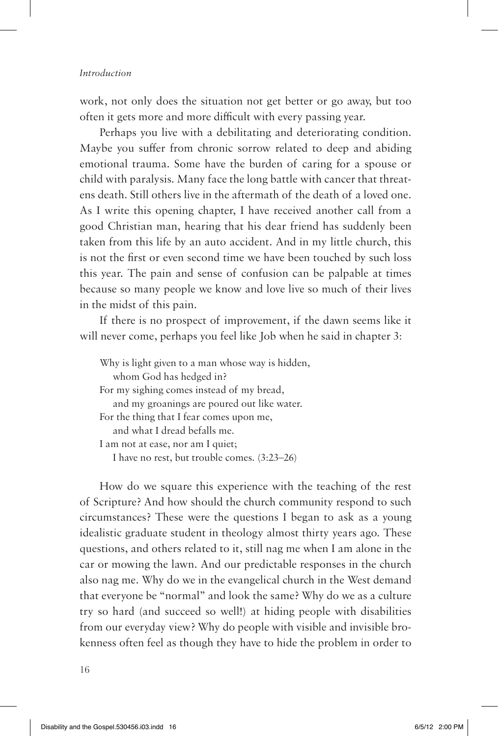work, not only does the situation not get better or go away, but too often it gets more and more difficult with every passing year.

Perhaps you live with a debilitating and deteriorating condition. Maybe you sufer from chronic sorrow related to deep and abiding emotional trauma. Some have the burden of caring for a spouse or child with paralysis. Many face the long battle with cancer that threatens death. Still others live in the aftermath of the death of a loved one. As I write this opening chapter, I have received another call from a good Christian man, hearing that his dear friend has suddenly been taken from this life by an auto accident. And in my little church, this is not the first or even second time we have been touched by such loss this year. The pain and sense of confusion can be palpable at times because so many people we know and love live so much of their lives in the midst of this pain.

If there is no prospect of improvement, if the dawn seems like it will never come, perhaps you feel like Job when he said in chapter 3:

Why is light given to a man whose way is hidden, whom God has hedged in? For my sighing comes instead of my bread, and my groanings are poured out like water. For the thing that I fear comes upon me, and what I dread befalls me. I am not at ease, nor am I quiet; I have no rest, but trouble comes. (3:23–26)

How do we square this experience with the teaching of the rest of Scripture? And how should the church community respond to such circumstances? These were the questions I began to ask as a young idealistic graduate student in theology almost thirty years ago. These questions, and others related to it, still nag me when I am alone in the car or mowing the lawn. And our predictable responses in the church also nag me. Why do we in the evangelical church in the West demand that everyone be "normal" and look the same? Why do we as a culture try so hard (and succeed so well!) at hiding people with disabilities from our everyday view? Why do people with visible and invisible brokenness often feel as though they have to hide the problem in order to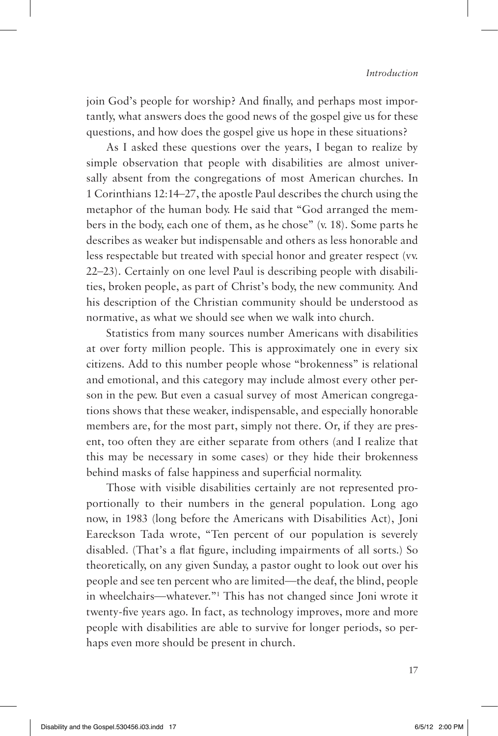join God's people for worship? And finally, and perhaps most importantly, what answers does the good news of the gospel give us for these questions, and how does the gospel give us hope in these situations?

As I asked these questions over the years, I began to realize by simple observation that people with disabilities are almost universally absent from the congregations of most American churches. In 1 Corinthians 12:14–27, the apostle Paul describes the church using the metaphor of the human body. He said that "God arranged the members in the body, each one of them, as he chose" (v. 18). Some parts he describes as weaker but indispensable and others as less honorable and less respectable but treated with special honor and greater respect (vv. 22–23). Certainly on one level Paul is describing people with disabilities, broken people, as part of Christ's body, the new community. And his description of the Christian community should be understood as normative, as what we should see when we walk into church.

Statistics from many sources number Americans with disabilities at over forty million people. This is approximately one in every six citizens. Add to this number people whose "brokenness" is relational and emotional, and this category may include almost every other person in the pew. But even a casual survey of most American congregations shows that these weaker, indispensable, and especially honorable members are, for the most part, simply not there. Or, if they are present, too often they are either separate from others (and I realize that this may be necessary in some cases) or they hide their brokenness behind masks of false happiness and superficial normality.

Those with visible disabilities certainly are not represented proportionally to their numbers in the general population. Long ago now, in 1983 (long before the Americans with Disabilities Act), Joni Eareckson Tada wrote, "Ten percent of our population is severely disabled. (That's a flat figure, including impairments of all sorts.) So theoretically, on any given Sunday, a pastor ought to look out over his people and see ten percent who are limited—the deaf, the blind, people in wheelchairs—whatever."1 This has not changed since Joni wrote it twenty-five years ago. In fact, as technology improves, more and more people with disabilities are able to survive for longer periods, so perhaps even more should be present in church.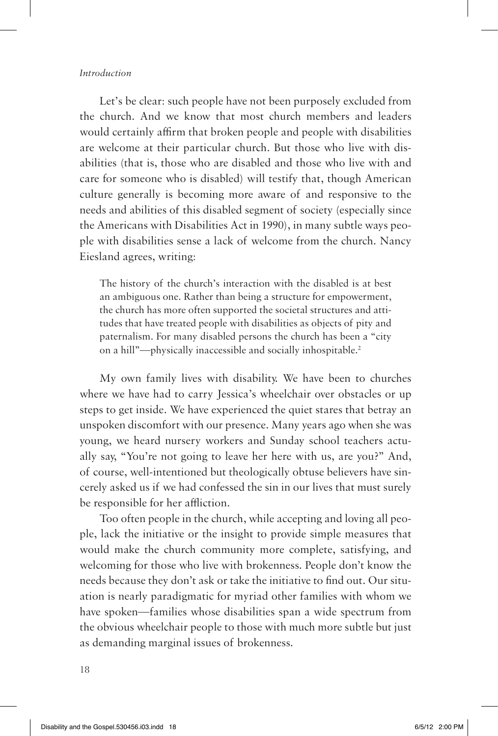### *Introduction*

Let's be clear: such people have not been purposely excluded from the church. And we know that most church members and leaders would certainly affirm that broken people and people with disabilities are welcome at their particular church. But those who live with disabilities (that is, those who are disabled and those who live with and care for someone who is disabled) will testify that, though American culture generally is becoming more aware of and responsive to the needs and abilities of this disabled segment of society (especially since the Americans with Disabilities Act in 1990), in many subtle ways people with disabilities sense a lack of welcome from the church. Nancy Eiesland agrees, writing:

The history of the church's interaction with the disabled is at best an ambiguous one. Rather than being a structure for empowerment, the church has more often supported the societal structures and attitudes that have treated people with disabilities as objects of pity and paternalism. For many disabled persons the church has been a "city on a hill"—physically inaccessible and socially inhospitable.2

My own family lives with disability. We have been to churches where we have had to carry Jessica's wheelchair over obstacles or up steps to get inside. We have experienced the quiet stares that betray an unspoken discomfort with our presence. Many years ago when she was young, we heard nursery workers and Sunday school teachers actually say, "You're not going to leave her here with us, are you?" And, of course, well-intentioned but theologically obtuse believers have sincerely asked us if we had confessed the sin in our lives that must surely be responsible for her affliction.

Too often people in the church, while accepting and loving all people, lack the initiative or the insight to provide simple measures that would make the church community more complete, satisfying, and welcoming for those who live with brokenness. People don't know the needs because they don't ask or take the initiative to find out. Our situation is nearly paradigmatic for myriad other families with whom we have spoken—families whose disabilities span a wide spectrum from the obvious wheelchair people to those with much more subtle but just as demanding marginal issues of brokenness.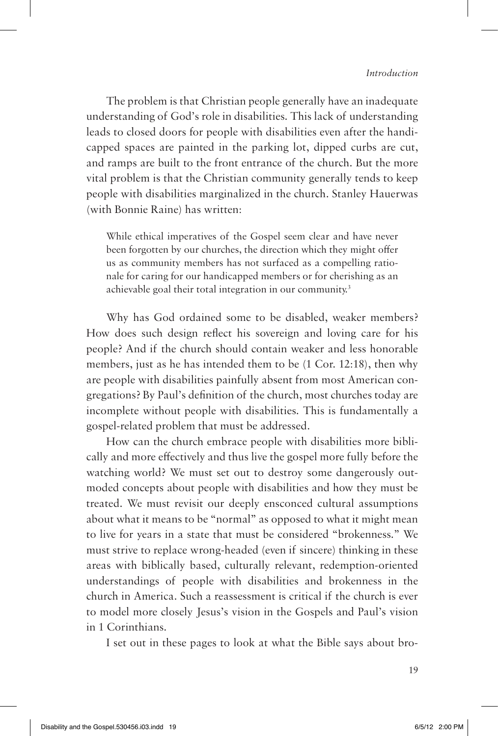The problem is that Christian people generally have an inadequate understanding of God's role in disabilities. This lack of understanding leads to closed doors for people with disabilities even after the handicapped spaces are painted in the parking lot, dipped curbs are cut, and ramps are built to the front entrance of the church. But the more vital problem is that the Christian community generally tends to keep people with disabilities marginalized in the church. Stanley Hauerwas (with Bonnie Raine) has written:

While ethical imperatives of the Gospel seem clear and have never been forgotten by our churches, the direction which they might offer us as community members has not surfaced as a compelling rationale for caring for our handicapped members or for cherishing as an achievable goal their total integration in our community.3

Why has God ordained some to be disabled, weaker members? How does such design reflect his sovereign and loving care for his people? And if the church should contain weaker and less honorable members, just as he has intended them to be (1 Cor. 12:18), then why are people with disabilities painfully absent from most American congregations? By Paul's definition of the church, most churches today are incomplete without people with disabilities. This is fundamentally a gospel-related problem that must be addressed.

How can the church embrace people with disabilities more biblically and more efectively and thus live the gospel more fully before the watching world? We must set out to destroy some dangerously outmoded concepts about people with disabilities and how they must be treated. We must revisit our deeply ensconced cultural assumptions about what it means to be "normal" as opposed to what it might mean to live for years in a state that must be considered "brokenness." We must strive to replace wrong-headed (even if sincere) thinking in these areas with biblically based, culturally relevant, redemption-oriented understandings of people with disabilities and brokenness in the church in America. Such a reassessment is critical if the church is ever to model more closely Jesus's vision in the Gospels and Paul's vision in 1 Corinthians.

I set out in these pages to look at what the Bible says about bro-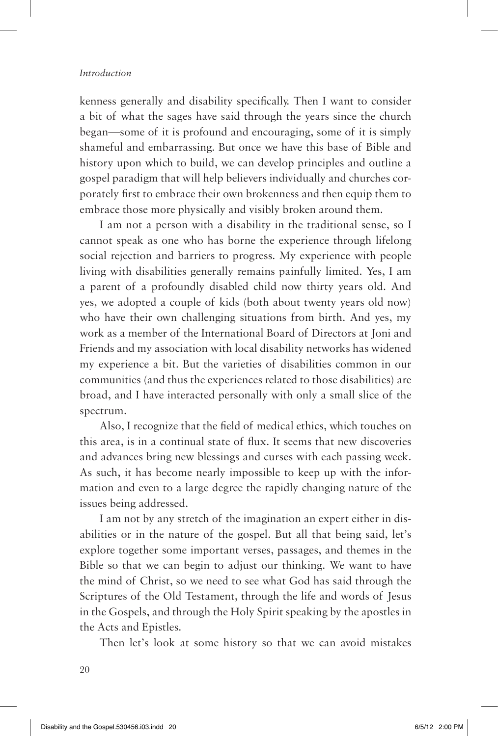kenness generally and disability specifically. Then I want to consider a bit of what the sages have said through the years since the church began—some of it is profound and encouraging, some of it is simply shameful and embarrassing. But once we have this base of Bible and history upon which to build, we can develop principles and outline a gospel paradigm that will help believers individually and churches corporately first to embrace their own brokenness and then equip them to embrace those more physically and visibly broken around them.

I am not a person with a disability in the traditional sense, so I cannot speak as one who has borne the experience through lifelong social rejection and barriers to progress. My experience with people living with disabilities generally remains painfully limited. Yes, I am a parent of a profoundly disabled child now thirty years old. And yes, we adopted a couple of kids (both about twenty years old now) who have their own challenging situations from birth. And yes, my work as a member of the International Board of Directors at Joni and Friends and my association with local disability networks has widened my experience a bit. But the varieties of disabilities common in our communities (and thus the experiences related to those disabilities) are broad, and I have interacted personally with only a small slice of the spectrum.

Also, I recognize that the field of medical ethics, which touches on this area, is in a continual state of flux. It seems that new discoveries and advances bring new blessings and curses with each passing week. As such, it has become nearly impossible to keep up with the information and even to a large degree the rapidly changing nature of the issues being addressed.

I am not by any stretch of the imagination an expert either in disabilities or in the nature of the gospel. But all that being said, let's explore together some important verses, passages, and themes in the Bible so that we can begin to adjust our thinking. We want to have the mind of Christ, so we need to see what God has said through the Scriptures of the Old Testament, through the life and words of Jesus in the Gospels, and through the Holy Spirit speaking by the apostles in the Acts and Epistles.

Then let's look at some history so that we can avoid mistakes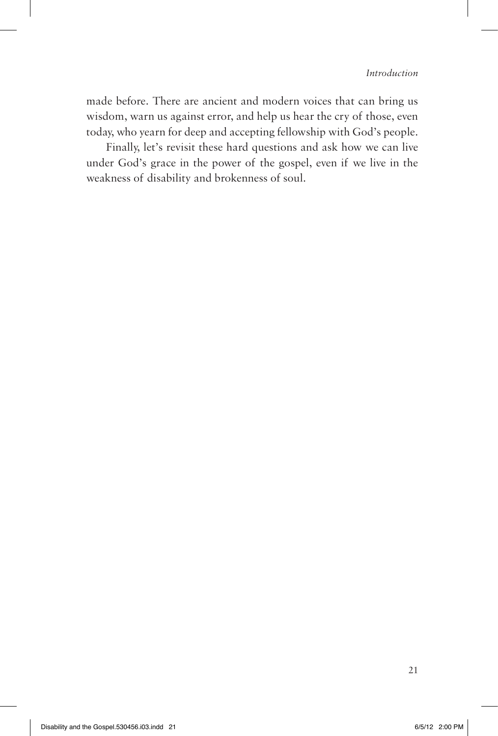made before. There are ancient and modern voices that can bring us wisdom, warn us against error, and help us hear the cry of those, even today, who yearn for deep and accepting fellowship with God's people.

Finally, let's revisit these hard questions and ask how we can live under God's grace in the power of the gospel, even if we live in the weakness of disability and brokenness of soul.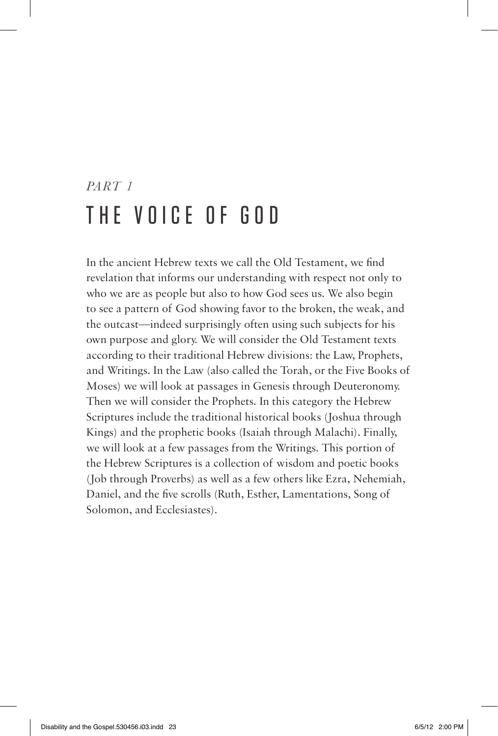# *PART 1* THE VOICE OF GOD

In the ancient Hebrew texts we call the Old Testament, we find revelation that informs our understanding with respect not only to who we are as people but also to how God sees us. We also begin to see a pattern of God showing favor to the broken, the weak, and the outcast—indeed surprisingly often using such subjects for his own purpose and glory. We will consider the Old Testament texts according to their traditional Hebrew divisions: the Law, Prophets, and Writings. In the Law (also called the Torah, or the Five Books of Moses) we will look at passages in Genesis through Deuteronomy. Then we will consider the Prophets. In this category the Hebrew Scriptures include the traditional historical books (Joshua through Kings) and the prophetic books (Isaiah through Malachi). Finally, we will look at a few passages from the Writings. This portion of the Hebrew Scriptures is a collection of wisdom and poetic books (Job through Proverbs) as well as a few others like Ezra, Nehemiah, Daniel, and the five scrolls (Ruth, Esther, Lamentations, Song of Solomon, and Ecclesiastes).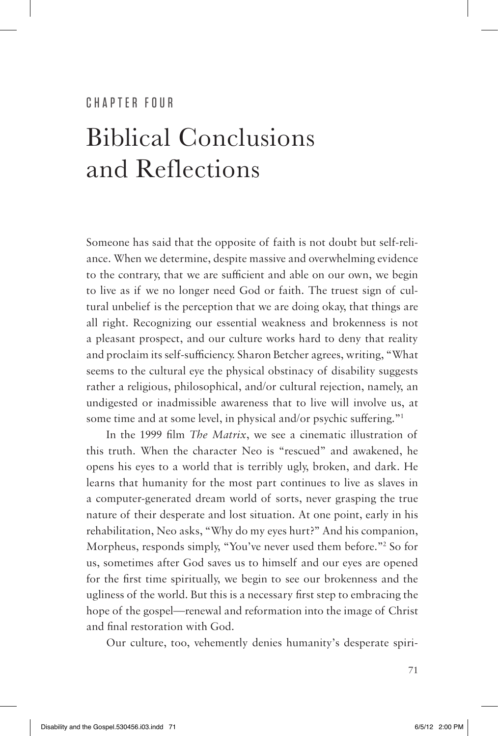## CHAPTER FOUR

# Biblical Conclusions and Reflections

Someone has said that the opposite of faith is not doubt but self-reliance. When we determine, despite massive and overwhelming evidence to the contrary, that we are sufficient and able on our own, we begin to live as if we no longer need God or faith. The truest sign of cultural unbelief is the perception that we are doing okay, that things are all right. Recognizing our essential weakness and brokenness is not a pleasant prospect, and our culture works hard to deny that reality and proclaim its self-sufficiency. Sharon Betcher agrees, writing, "What seems to the cultural eye the physical obstinacy of disability suggests rather a religious, philosophical, and/or cultural rejection, namely, an undigested or inadmissible awareness that to live will involve us, at some time and at some level, in physical and/or psychic suffering."<sup>1</sup>

In the 1999 film *The Matrix*, we see a cinematic illustration of this truth. When the character Neo is "rescued" and awakened, he opens his eyes to a world that is terribly ugly, broken, and dark. He learns that humanity for the most part continues to live as slaves in a computer-generated dream world of sorts, never grasping the true nature of their desperate and lost situation. At one point, early in his rehabilitation, Neo asks, "Why do my eyes hurt?" And his companion, Morpheus, responds simply, "You've never used them before."2 So for us, sometimes after God saves us to himself and our eyes are opened for the first time spiritually, we begin to see our brokenness and the ugliness of the world. But this is a necessary first step to embracing the hope of the gospel—renewal and reformation into the image of Christ and final restoration with God.

Our culture, too, vehemently denies humanity's desperate spiri-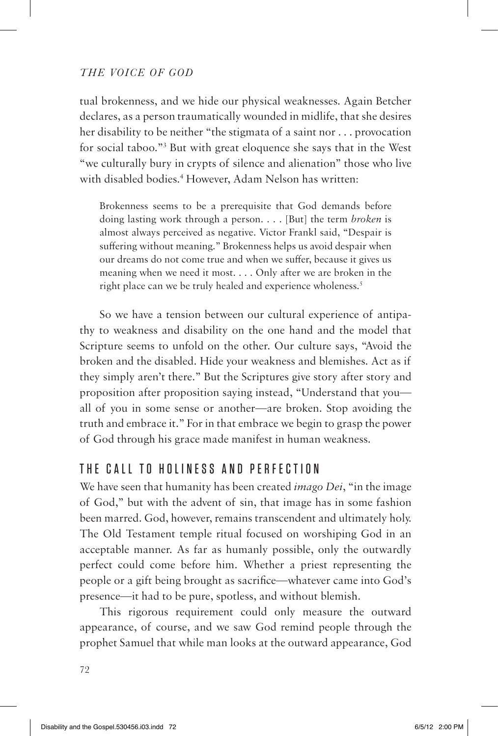tual brokenness, and we hide our physical weaknesses. Again Betcher declares, as a person traumatically wounded in midlife, that she desires her disability to be neither "the stigmata of a saint nor . . . provocation for social taboo."3 But with great eloquence she says that in the West "we culturally bury in crypts of silence and alienation" those who live with disabled bodies.4 However, Adam Nelson has written:

Brokenness seems to be a prerequisite that God demands before doing lasting work through a person. . . . [But] the term *broken* is almost always perceived as negative. Victor Frankl said, "Despair is sufering without meaning." Brokenness helps us avoid despair when our dreams do not come true and when we sufer, because it gives us meaning when we need it most. . . . Only after we are broken in the right place can we be truly healed and experience wholeness.<sup>5</sup>

So we have a tension between our cultural experience of antipathy to weakness and disability on the one hand and the model that Scripture seems to unfold on the other. Our culture says, "Avoid the broken and the disabled. Hide your weakness and blemishes. Act as if they simply aren't there." But the Scriptures give story after story and proposition after proposition saying instead, "Understand that you all of you in some sense or another—are broken. Stop avoiding the truth and embrace it." For in that embrace we begin to grasp the power of God through his grace made manifest in human weakness.

# THE CALL TO HOLINESS AND PERFECTION

We have seen that humanity has been created *imago Dei*, "in the image of God," but with the advent of sin, that image has in some fashion been marred. God, however, remains transcendent and ultimately holy. The Old Testament temple ritual focused on worshiping God in an acceptable manner. As far as humanly possible, only the outwardly perfect could come before him. Whether a priest representing the people or a gift being brought as sacrifice—whatever came into God's presence—it had to be pure, spotless, and without blemish.

This rigorous requirement could only measure the outward appearance, of course, and we saw God remind people through the prophet Samuel that while man looks at the outward appearance, God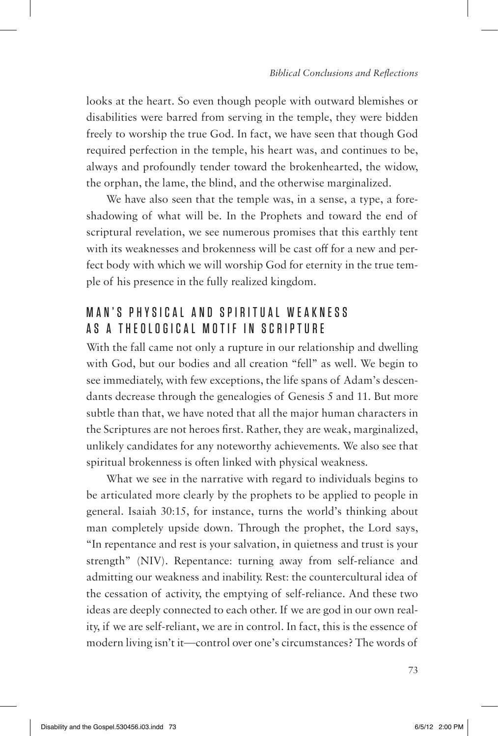looks at the heart. So even though people with outward blemishes or disabilities were barred from serving in the temple, they were bidden freely to worship the true God. In fact, we have seen that though God required perfection in the temple, his heart was, and continues to be, always and profoundly tender toward the brokenhearted, the widow, the orphan, the lame, the blind, and the otherwise marginalized.

We have also seen that the temple was, in a sense, a type, a foreshadowing of what will be. In the Prophets and toward the end of scriptural revelation, we see numerous promises that this earthly tent with its weaknesses and brokenness will be cast off for a new and perfect body with which we will worship God for eternity in the true temple of his presence in the fully realized kingdom.

# MAN'S PHYSICAL AND SPIRITUAL WEAKNESS AS A THEOLOGICAL MOTIF IN SCRIPTURE

With the fall came not only a rupture in our relationship and dwelling with God, but our bodies and all creation "fell" as well. We begin to see immediately, with few exceptions, the life spans of Adam's descendants decrease through the genealogies of Genesis 5 and 11. But more subtle than that, we have noted that all the major human characters in the Scriptures are not heroes first. Rather, they are weak, marginalized, unlikely candidates for any noteworthy achievements. We also see that spiritual brokenness is often linked with physical weakness.

What we see in the narrative with regard to individuals begins to be articulated more clearly by the prophets to be applied to people in general. Isaiah 30:15, for instance, turns the world's thinking about man completely upside down. Through the prophet, the Lord says, "In repentance and rest is your salvation, in quietness and trust is your strength" (NIV). Repentance: turning away from self-reliance and admitting our weakness and inability. Rest: the countercultural idea of the cessation of activity, the emptying of self-reliance. And these two ideas are deeply connected to each other. If we are god in our own reality, if we are self-reliant, we are in control. In fact, this is the essence of modern living isn't it—control over one's circumstances? The words of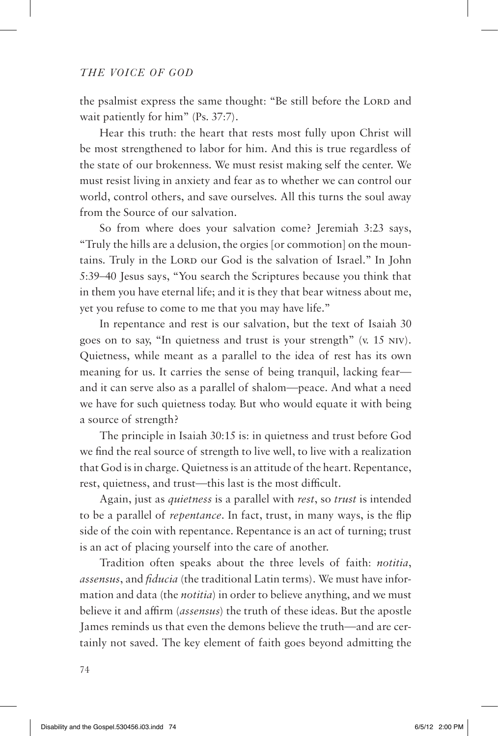the psalmist express the same thought: "Be still before the LORD and wait patiently for him" (Ps. 37:7).

Hear this truth: the heart that rests most fully upon Christ will be most strengthened to labor for him. And this is true regardless of the state of our brokenness. We must resist making self the center. We must resist living in anxiety and fear as to whether we can control our world, control others, and save ourselves. All this turns the soul away from the Source of our salvation.

So from where does your salvation come? Jeremiah 3:23 says, "Truly the hills are a delusion, the orgies [or commotion] on the mountains. Truly in the LORD our God is the salvation of Israel." In John 5:39–40 Jesus says, "You search the Scriptures because you think that in them you have eternal life; and it is they that bear witness about me, yet you refuse to come to me that you may have life."

In repentance and rest is our salvation, but the text of Isaiah 30 goes on to say, "In quietness and trust is your strength" (v. 15 niv). Quietness, while meant as a parallel to the idea of rest has its own meaning for us. It carries the sense of being tranquil, lacking fear and it can serve also as a parallel of shalom—peace. And what a need we have for such quietness today. But who would equate it with being a source of strength?

The principle in Isaiah 30:15 is: in quietness and trust before God we find the real source of strength to live well, to live with a realization that God is in charge. Quietness is an attitude of the heart. Repentance, rest, quietness, and trust—this last is the most difficult.

Again, just as *quietness* is a parallel with *rest*, so *trust* is intended to be a parallel of *repentance*. In fact, trust, in many ways, is the flip side of the coin with repentance. Repentance is an act of turning; trust is an act of placing yourself into the care of another.

Tradition often speaks about the three levels of faith: *notitia*, *assensus*, and *fiducia* (the traditional Latin terms). We must have information and data (the *notitia*) in order to believe anything, and we must believe it and affirm (*assensus*) the truth of these ideas. But the apostle James reminds us that even the demons believe the truth—and are certainly not saved. The key element of faith goes beyond admitting the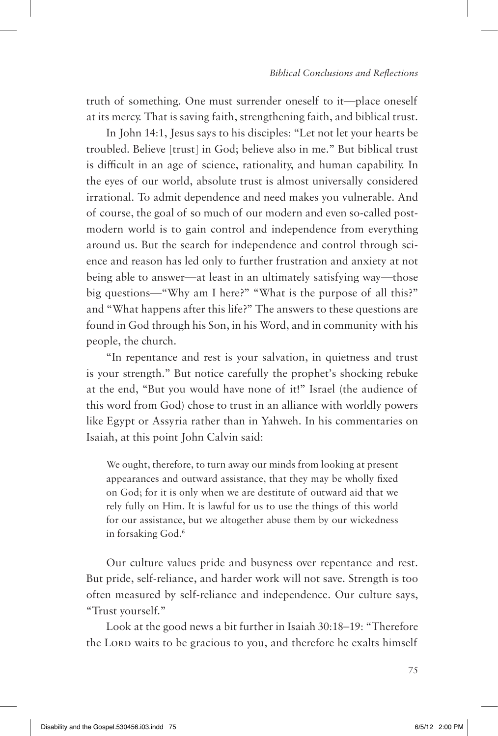truth of something. One must surrender oneself to it—place oneself at its mercy. That is saving faith, strengthening faith, and biblical trust.

In John 14:1, Jesus says to his disciples: "Let not let your hearts be troubled. Believe [trust] in God; believe also in me." But biblical trust is difficult in an age of science, rationality, and human capability. In the eyes of our world, absolute trust is almost universally considered irrational. To admit dependence and need makes you vulnerable. And of course, the goal of so much of our modern and even so-called postmodern world is to gain control and independence from everything around us. But the search for independence and control through science and reason has led only to further frustration and anxiety at not being able to answer—at least in an ultimately satisfying way—those big questions—"Why am I here?" "What is the purpose of all this?" and "What happens after this life?" The answers to these questions are found in God through his Son, in his Word, and in community with his people, the church.

"In repentance and rest is your salvation, in quietness and trust is your strength." But notice carefully the prophet's shocking rebuke at the end, "But you would have none of it!" Israel (the audience of this word from God) chose to trust in an alliance with worldly powers like Egypt or Assyria rather than in Yahweh. In his commentaries on Isaiah, at this point John Calvin said:

We ought, therefore, to turn away our minds from looking at present appearances and outward assistance, that they may be wholly fixed on God; for it is only when we are destitute of outward aid that we rely fully on Him. It is lawful for us to use the things of this world for our assistance, but we altogether abuse them by our wickedness in forsaking God.<sup>6</sup>

Our culture values pride and busyness over repentance and rest. But pride, self-reliance, and harder work will not save. Strength is too often measured by self-reliance and independence. Our culture says, "Trust yourself."

Look at the good news a bit further in Isaiah 30:18–19: "Therefore the LORD waits to be gracious to you, and therefore he exalts himself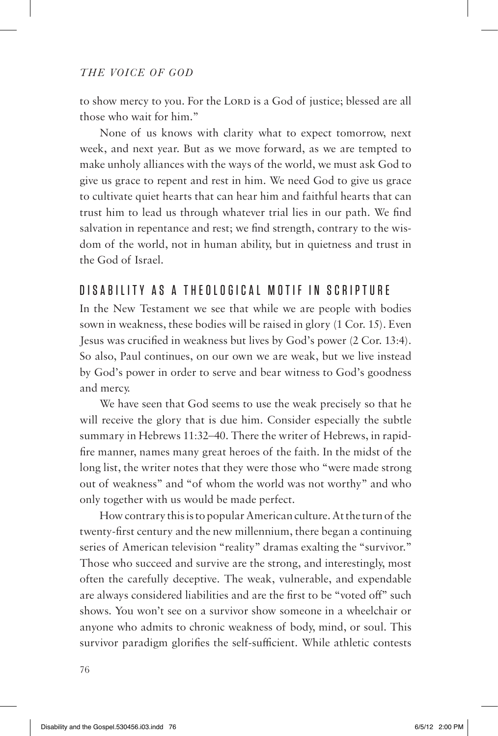to show mercy to you. For the LORD is a God of justice; blessed are all those who wait for him."

None of us knows with clarity what to expect tomorrow, next week, and next year. But as we move forward, as we are tempted to make unholy alliances with the ways of the world, we must ask God to give us grace to repent and rest in him. We need God to give us grace to cultivate quiet hearts that can hear him and faithful hearts that can trust him to lead us through whatever trial lies in our path. We find salvation in repentance and rest; we find strength, contrary to the wisdom of the world, not in human ability, but in quietness and trust in the God of Israel.

## DISABILITY AS A THEOLOGICAL MOTIF IN SCRIPTURE

In the New Testament we see that while we are people with bodies sown in weakness, these bodies will be raised in glory (1 Cor. 15). Even Jesus was crucified in weakness but lives by God's power (2 Cor. 13:4). So also, Paul continues, on our own we are weak, but we live instead by God's power in order to serve and bear witness to God's goodness and mercy.

We have seen that God seems to use the weak precisely so that he will receive the glory that is due him. Consider especially the subtle summary in Hebrews 11:32–40. There the writer of Hebrews, in rapidfire manner, names many great heroes of the faith. In the midst of the long list, the writer notes that they were those who "were made strong out of weakness" and "of whom the world was not worthy" and who only together with us would be made perfect.

How contrary this is to popular American culture. At the turn of the twenty-first century and the new millennium, there began a continuing series of American television "reality" dramas exalting the "survivor." Those who succeed and survive are the strong, and interestingly, most often the carefully deceptive. The weak, vulnerable, and expendable are always considered liabilities and are the first to be "voted off" such shows. You won't see on a survivor show someone in a wheelchair or anyone who admits to chronic weakness of body, mind, or soul. This survivor paradigm glorifies the self-sufficient. While athletic contests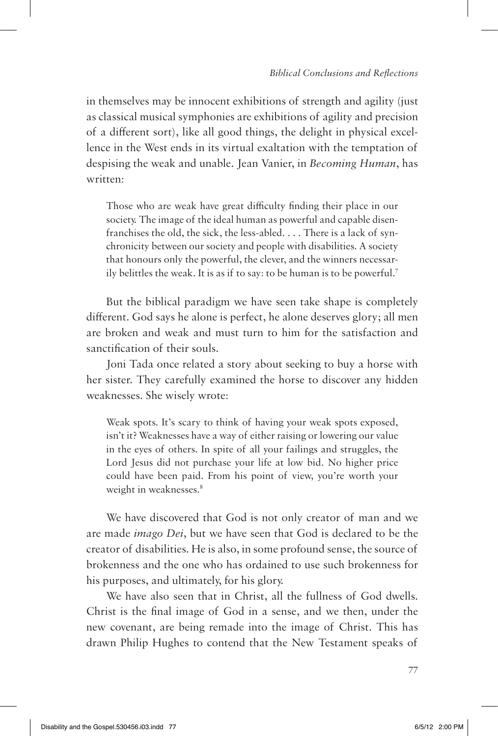in themselves may be innocent exhibitions of strength and agility (just as classical musical symphonies are exhibitions of agility and precision of a diferent sort), like all good things, the delight in physical excellence in the West ends in its virtual exaltation with the temptation of despising the weak and unable. Jean Vanier, in *Becoming Human*, has written:

Those who are weak have great difficulty finding their place in our society. The image of the ideal human as powerful and capable disenfranchises the old, the sick, the less-abled. . . . There is a lack of synchronicity between our society and people with disabilities. A society that honours only the powerful, the clever, and the winners necessarily belittles the weak. It is as if to say: to be human is to be powerful.7

But the biblical paradigm we have seen take shape is completely diferent. God says he alone is perfect, he alone deserves glory; all men are broken and weak and must turn to him for the satisfaction and sanctification of their souls.

Joni Tada once related a story about seeking to buy a horse with her sister. They carefully examined the horse to discover any hidden weaknesses. She wisely wrote:

Weak spots. It's scary to think of having your weak spots exposed, isn't it? Weaknesses have a way of either raising or lowering our value in the eyes of others. In spite of all your failings and struggles, the Lord Jesus did not purchase your life at low bid. No higher price could have been paid. From his point of view, you're worth your weight in weaknesses.<sup>8</sup>

We have discovered that God is not only creator of man and we are made *imago Dei*, but we have seen that God is declared to be the creator of disabilities. He is also, in some profound sense, the source of brokenness and the one who has ordained to use such brokenness for his purposes, and ultimately, for his glory.

We have also seen that in Christ, all the fullness of God dwells. Christ is the final image of God in a sense, and we then, under the new covenant, are being remade into the image of Christ. This has drawn Philip Hughes to contend that the New Testament speaks of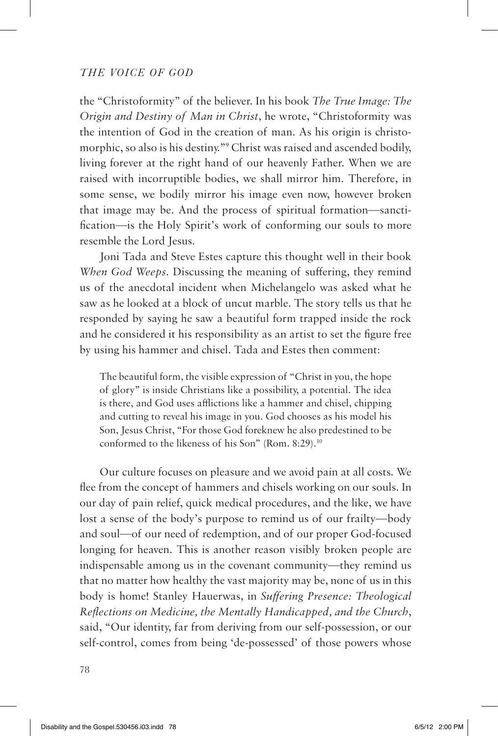the "Christoformity" of the believer. In his book *The True Image: The Origin and Destiny of Man in Christ*, he wrote, "Christoformity was the intention of God in the creation of man. As his origin is christomorphic, so also is his destiny."9 Christ was raised and ascended bodily, living forever at the right hand of our heavenly Father. When we are raised with incorruptible bodies, we shall mirror him. Therefore, in some sense, we bodily mirror his image even now, however broken that image may be. And the process of spiritual formation—sanctification—is the Holy Spirit's work of conforming our souls to more resemble the Lord Jesus.

Joni Tada and Steve Estes capture this thought well in their book *When God Weeps*. Discussing the meaning of sufering, they remind us of the anecdotal incident when Michelangelo was asked what he saw as he looked at a block of uncut marble. The story tells us that he responded by saying he saw a beautiful form trapped inside the rock and he considered it his responsibility as an artist to set the figure free by using his hammer and chisel. Tada and Estes then comment:

The beautiful form, the visible expression of "Christ in you, the hope of glory" is inside Christians like a possibility, a potential. The idea is there, and God uses afictions like a hammer and chisel, chipping and cutting to reveal his image in you. God chooses as his model his Son, Jesus Christ, "For those God foreknew he also predestined to be conformed to the likeness of his Son" (Rom. 8:29).<sup>10</sup>

Our culture focuses on pleasure and we avoid pain at all costs. We flee from the concept of hammers and chisels working on our souls. In our day of pain relief, quick medical procedures, and the like, we have lost a sense of the body's purpose to remind us of our frailty—body and soul—of our need of redemption, and of our proper God-focused longing for heaven. This is another reason visibly broken people are indispensable among us in the covenant community—they remind us that no matter how healthy the vast majority may be, none of us in this body is home! Stanley Hauerwas, in *Sufering Presence: Theological Reflections on Medicine, the Mentally Handicapped, and the Church*, said, "Our identity, far from deriving from our self-possession, or our self-control, comes from being 'de-possessed' of those powers whose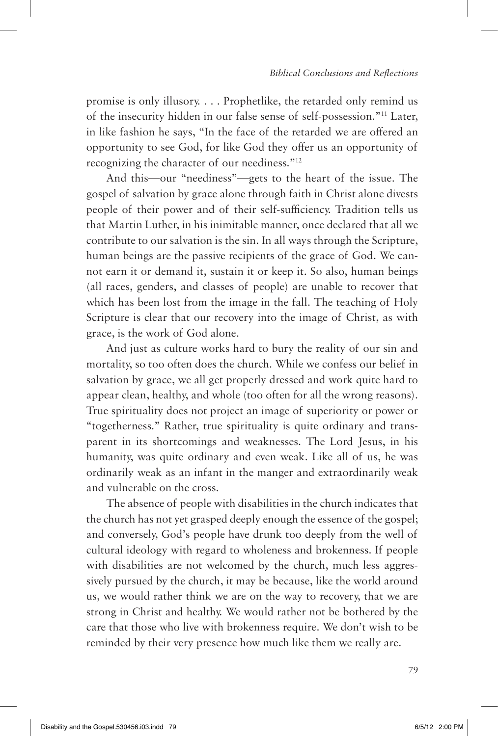promise is only illusory. . . . Prophetlike, the retarded only remind us of the insecurity hidden in our false sense of self-possession."11 Later, in like fashion he says, "In the face of the retarded we are ofered an opportunity to see God, for like God they ofer us an opportunity of recognizing the character of our neediness."12

And this—our "neediness"—gets to the heart of the issue. The gospel of salvation by grace alone through faith in Christ alone divests people of their power and of their self-sufficiency. Tradition tells us that Martin Luther, in his inimitable manner, once declared that all we contribute to our salvation is the sin. In all ways through the Scripture, human beings are the passive recipients of the grace of God. We cannot earn it or demand it, sustain it or keep it. So also, human beings (all races, genders, and classes of people) are unable to recover that which has been lost from the image in the fall. The teaching of Holy Scripture is clear that our recovery into the image of Christ, as with grace, is the work of God alone.

And just as culture works hard to bury the reality of our sin and mortality, so too often does the church. While we confess our belief in salvation by grace, we all get properly dressed and work quite hard to appear clean, healthy, and whole (too often for all the wrong reasons). True spirituality does not project an image of superiority or power or "togetherness." Rather, true spirituality is quite ordinary and transparent in its shortcomings and weaknesses. The Lord Jesus, in his humanity, was quite ordinary and even weak. Like all of us, he was ordinarily weak as an infant in the manger and extraordinarily weak and vulnerable on the cross.

The absence of people with disabilities in the church indicates that the church has not yet grasped deeply enough the essence of the gospel; and conversely, God's people have drunk too deeply from the well of cultural ideology with regard to wholeness and brokenness. If people with disabilities are not welcomed by the church, much less aggressively pursued by the church, it may be because, like the world around us, we would rather think we are on the way to recovery, that we are strong in Christ and healthy. We would rather not be bothered by the care that those who live with brokenness require. We don't wish to be reminded by their very presence how much like them we really are.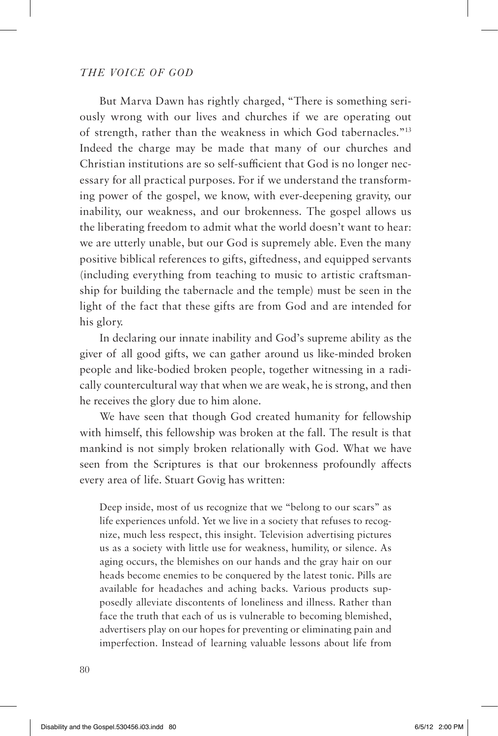But Marva Dawn has rightly charged, "There is something seriously wrong with our lives and churches if we are operating out of strength, rather than the weakness in which God tabernacles."13 Indeed the charge may be made that many of our churches and Christian institutions are so self-sufficient that God is no longer necessary for all practical purposes. For if we understand the transforming power of the gospel, we know, with ever-deepening gravity, our inability, our weakness, and our brokenness. The gospel allows us the liberating freedom to admit what the world doesn't want to hear: we are utterly unable, but our God is supremely able. Even the many positive biblical references to gifts, giftedness, and equipped servants (including everything from teaching to music to artistic craftsmanship for building the tabernacle and the temple) must be seen in the light of the fact that these gifts are from God and are intended for his glory.

In declaring our innate inability and God's supreme ability as the giver of all good gifts, we can gather around us like-minded broken people and like-bodied broken people, together witnessing in a radically countercultural way that when we are weak, he is strong, and then he receives the glory due to him alone.

We have seen that though God created humanity for fellowship with himself, this fellowship was broken at the fall. The result is that mankind is not simply broken relationally with God. What we have seen from the Scriptures is that our brokenness profoundly afects every area of life. Stuart Govig has written:

Deep inside, most of us recognize that we "belong to our scars" as life experiences unfold. Yet we live in a society that refuses to recognize, much less respect, this insight. Television advertising pictures us as a society with little use for weakness, humility, or silence. As aging occurs, the blemishes on our hands and the gray hair on our heads become enemies to be conquered by the latest tonic. Pills are available for headaches and aching backs. Various products supposedly alleviate discontents of loneliness and illness. Rather than face the truth that each of us is vulnerable to becoming blemished, advertisers play on our hopes for preventing or eliminating pain and imperfection. Instead of learning valuable lessons about life from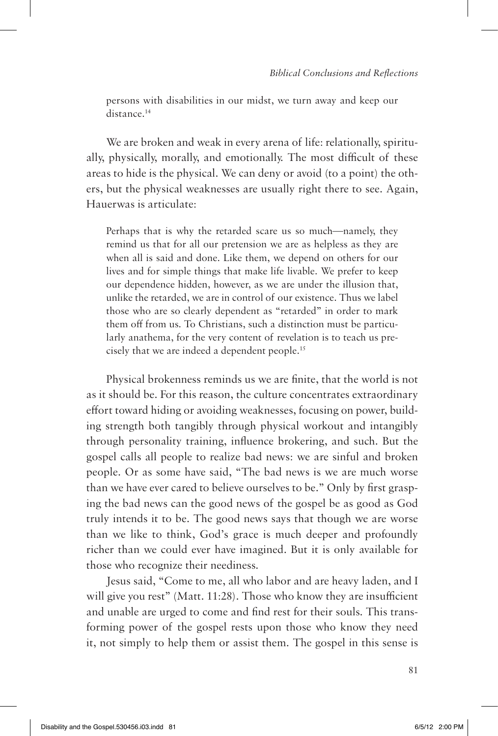persons with disabilities in our midst, we turn away and keep our distance<sup>14</sup>

We are broken and weak in every arena of life: relationally, spiritually, physically, morally, and emotionally. The most difficult of these areas to hide is the physical. We can deny or avoid (to a point) the others, but the physical weaknesses are usually right there to see. Again, Hauerwas is articulate:

Perhaps that is why the retarded scare us so much—namely, they remind us that for all our pretension we are as helpless as they are when all is said and done. Like them, we depend on others for our lives and for simple things that make life livable. We prefer to keep our dependence hidden, however, as we are under the illusion that, unlike the retarded, we are in control of our existence. Thus we label those who are so clearly dependent as "retarded" in order to mark them off from us. To Christians, such a distinction must be particularly anathema, for the very content of revelation is to teach us precisely that we are indeed a dependent people.15

Physical brokenness reminds us we are finite, that the world is not as it should be. For this reason, the culture concentrates extraordinary efort toward hiding or avoiding weaknesses, focusing on power, building strength both tangibly through physical workout and intangibly through personality training, influence brokering, and such. But the gospel calls all people to realize bad news: we are sinful and broken people. Or as some have said, "The bad news is we are much worse than we have ever cared to believe ourselves to be." Only by first grasping the bad news can the good news of the gospel be as good as God truly intends it to be. The good news says that though we are worse than we like to think, God's grace is much deeper and profoundly richer than we could ever have imagined. But it is only available for those who recognize their neediness.

Jesus said, "Come to me, all who labor and are heavy laden, and I will give you rest" (Matt.  $11:28$ ). Those who know they are insufficient and unable are urged to come and find rest for their souls. This transforming power of the gospel rests upon those who know they need it, not simply to help them or assist them. The gospel in this sense is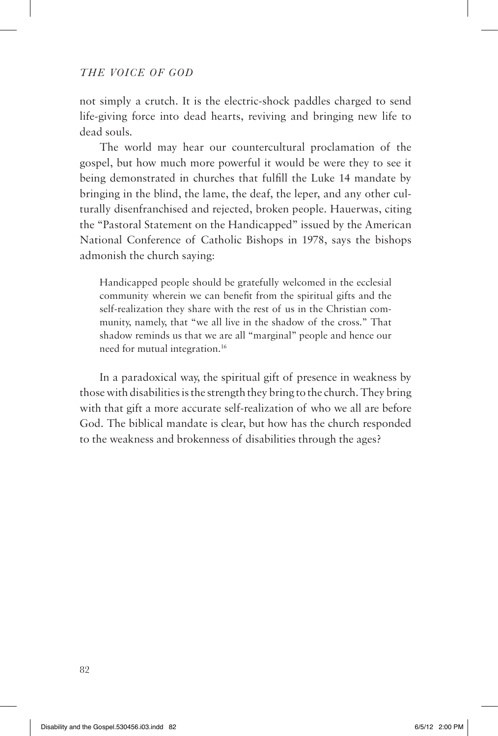not simply a crutch. It is the electric-shock paddles charged to send life-giving force into dead hearts, reviving and bringing new life to dead souls.

The world may hear our countercultural proclamation of the gospel, but how much more powerful it would be were they to see it being demonstrated in churches that fulfill the Luke 14 mandate by bringing in the blind, the lame, the deaf, the leper, and any other culturally disenfranchised and rejected, broken people. Hauerwas, citing the "Pastoral Statement on the Handicapped" issued by the American National Conference of Catholic Bishops in 1978, says the bishops admonish the church saying:

Handicapped people should be gratefully welcomed in the ecclesial community wherein we can benefit from the spiritual gifts and the self-realization they share with the rest of us in the Christian community, namely, that "we all live in the shadow of the cross." That shadow reminds us that we are all "marginal" people and hence our need for mutual integration.16

In a paradoxical way, the spiritual gift of presence in weakness by those with disabilities is the strength they bring to the church. They bring with that gift a more accurate self-realization of who we all are before God. The biblical mandate is clear, but how has the church responded to the weakness and brokenness of disabilities through the ages?